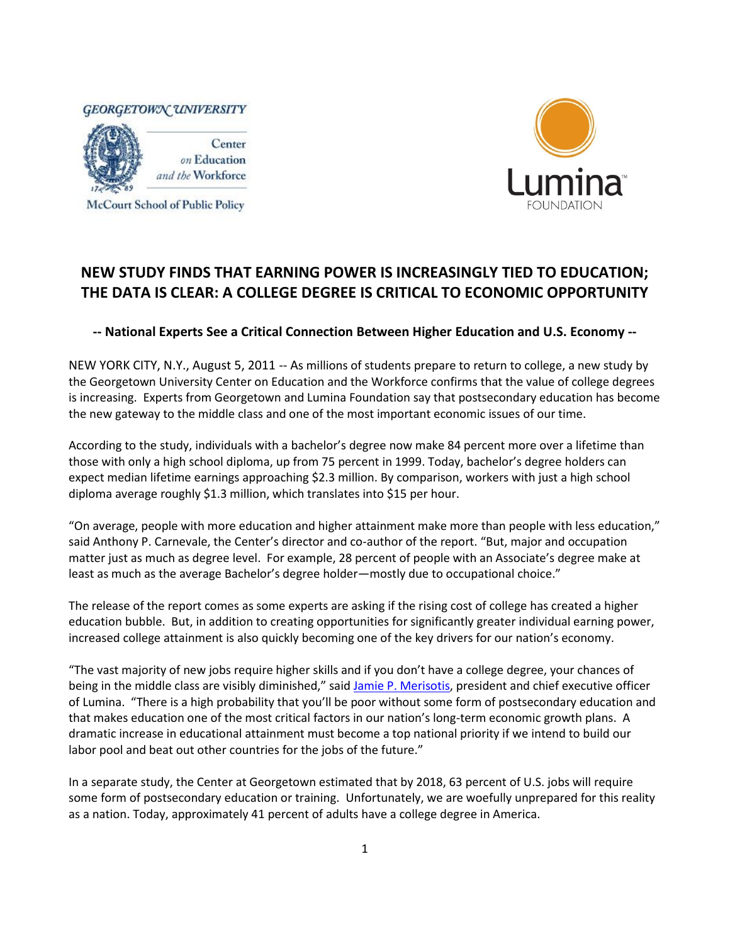

McCourt School of Public Policy



## **NEW STUDY FINDS THAT EARNING POWER IS INCREASINGLY TIED TO EDUCATION; THE DATA IS CLEAR: A COLLEGE DEGREE IS CRITICAL TO ECONOMIC OPPORTUNITY**

**-- National Experts See a Critical Connection Between Higher Education and U.S. Economy --**

NEW YORK CITY, N.Y., August 5, 2011 -- As millions of students prepare to return to college, a new study by the Georgetown University Center on Education and the Workforce confirms that the value of college degrees is increasing. Experts from Georgetown and Lumina Foundation say that postsecondary education has become the new gateway to the middle class and one of the most important economic issues of our time.

According to the study, individuals with a bachelor's degree now make 84 percent more over a lifetime than those with only a high school diploma, up from 75 percent in 1999. Today, bachelor's degree holders can expect median lifetime earnings approaching \$2.3 million. By comparison, workers with just a high school diploma average roughly \$1.3 million, which translates into \$15 per hour.

"On average, people with more education and higher attainment make more than people with less education," said Anthony P. Carnevale, the Center's director and co-author of the report. "But, major and occupation matter just as much as degree level. For example, 28 percent of people with an Associate's degree make at least as much as the average Bachelor's degree holder—mostly due to occupational choice."

The release of the report comes as some experts are asking if the rising cost of college has created a higher education bubble. But, in addition to creating opportunities for significantly greater individual earning power, increased college attainment is also quickly becoming one of the key drivers for our nation's economy.

"The vast majority of new jobs require higher skills and if you don't have a college degree, your chances of being in the middle class are visibly diminished," said [Jamie P. Merisotis,](http://www.luminafoundation.org/about_us/president/full_biography.html) president and chief executive officer of Lumina. "There is a high probability that you'll be poor without some form of postsecondary education and that makes education one of the most critical factors in our nation's long-term economic growth plans. A dramatic increase in educational attainment must become a top national priority if we intend to build our labor pool and beat out other countries for the jobs of the future."

In a separate study, the Center at Georgetown estimated that by 2018, 63 percent of U.S. jobs will require some form of postsecondary education or training. Unfortunately, we are woefully unprepared for this reality as a nation. Today, approximately 41 percent of adults have a college degree in America.